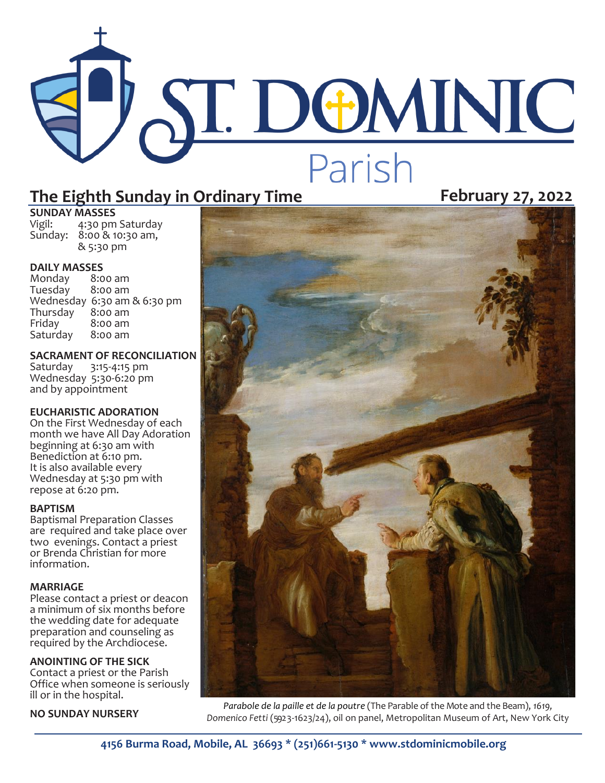# **ST. DOMINIC** Parish

## **The Eighth Sunday in Ordinary Time February 27, 2022**

**SUNDAY MASSES**<br>Vigil: 4:30 pm

4:30 pm Saturday Sunday: 8:00 & 10:30 am, & 5:30 pm

**DAILY MASSES**<br>Monday 8:00 am Monday 8:00 am Tuesday Wednesday 6:30 am & 6:30 pm<br>Thursday 8:00 am Thursday<br>Fridav 8:00 am<br>8:00 am Saturday

**SACRAMENT OF RECONCILIATION**<br>Saturday 3:15-4:15 pm 3:15-4:15 pm Wednesday 5:30-6:20 pm and by appointment

#### **EUCHARISTIC ADORATION**

On the First Wednesday of each month we have All Day Adoration beginning at 6:30 am with Benediction at 6:10 pm. It is also available every Wednesday at 5:30 pm with repose at 6:20 pm.

#### **BAPTISM**

Baptismal Preparation Classes are required and take place over two evenings. Contact a priest or Brenda Christian for more information.

#### **MARRIAGE**

Please contact a priest or deacon a minimum of six months before the wedding date for adequate preparation and counseling as required by the Archdiocese.

#### **ANOINTING OF THE SICK**

Contact a priest or the Parish Office when someone is seriously ill or in the hospital.

#### **NO SUNDAY NURSERY**



*[Parabole de la paille et de la poutre](https://fr.wikipedia.org/wiki/Parabole_de_la_paille_et_de_la_poutre)* (The Parable of the Mote and the Beam), *1619,*  Domenico Fetti (5923-1623/24), oil on panel, Metropolitan Museum of Art, New York City

**4156 Burma Road, Mobile, AL 36693 \* (251)661-5130 \* www.stdominicmobile.org**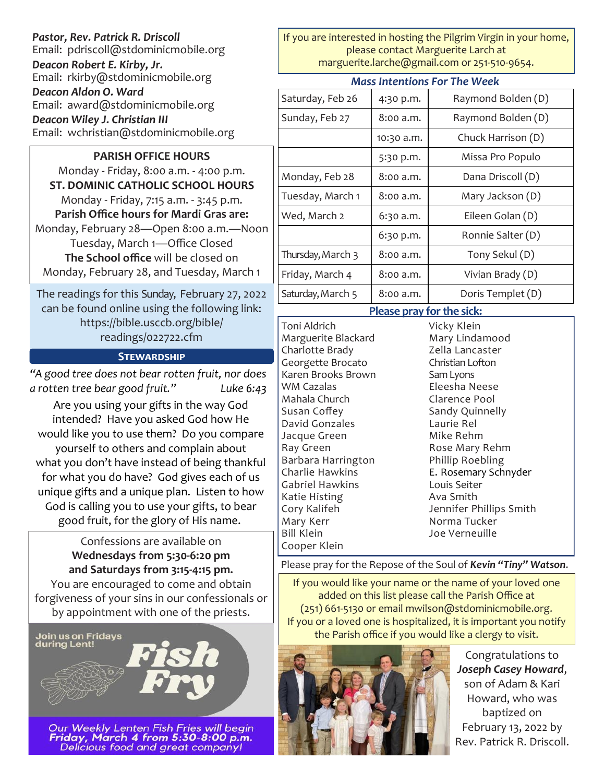#### *Pastor, Rev. Patrick R. Driscoll* Email: pdriscoll@stdominicmobile.org

*Deacon Robert E. Kirby, Jr.* Email: rkirby@stdominicmobile.org *Deacon Aldon O. Ward* Email: award@stdominicmobile.org

*Deacon Wiley J. Christian III*

Email: wchristian@stdominicmobile.org

### **PARISH OFFICE HOURS**

Monday - Friday, 8:00 a.m. - 4:00 p.m. **ST. DOMINIC CATHOLIC SCHOOL HOURS**  Monday - Friday, 7:15 a.m. - 3:45 p.m. **Parish Office hours for Mardi Gras are:** Monday, February 28—Open 8:00 a.m.—Noon Tuesday, March 1—Office Closed **The School office** will be closed on Monday, February 28, and Tuesday, March 1

The readings for this Sunday, February 27, 2022 can be found online using the following link: https://bible.usccb.org/bible/ readings/022722.cfm

#### **Stewardship**

*"A good tree does not bear rotten fruit, nor does a rotten tree bear good fruit." Luke 6:43* Are you using your gifts in the way God intended? Have you asked God how He would like you to use them? Do you compare yourself to others and complain about what you don't have instead of being thankful for what you do have? God gives each of us unique gifts and a unique plan. Listen to how God is calling you to use your gifts, to bear good fruit, for the glory of His name.

### Confessions are available on **Wednesdays from 5:30-6:20 pm and Saturdays from 3:15-4:15 pm.**

You are encouraged to come and obtain forgiveness of your sins in our confessionals or by appointment with one of the priests.



Our Weekly Lenten Fish Fries will begin<br>**Friday, March 4 from 5:30-8:00 p.m.**<br>Delicious food and great company!

If you are interested in hosting the Pilgrim Virgin in your home, please contact Marguerite Larch at marguerite.larche@gmail.com or 251-510-9654.

| <b>Mass Intentions For The Week</b> |            |                    |
|-------------------------------------|------------|--------------------|
| Saturday, Feb 26                    | 4:30 p.m.  | Raymond Bolden (D) |
| Sunday, Feb 27                      | 8:00 a.m.  | Raymond Bolden (D) |
|                                     | 10:30 a.m. | Chuck Harrison (D) |
|                                     | 5:30 p.m.  | Missa Pro Populo   |
| Monday, Feb 28                      | 8:00 a.m.  | Dana Driscoll (D)  |
| Tuesday, March 1                    | 8:00 a.m.  | Mary Jackson (D)   |
| Wed, March 2                        | 6:30 a.m.  | Eileen Golan (D)   |
|                                     | 6:30 p.m.  | Ronnie Salter (D)  |
| Thursday, March 3                   | 8:00 a.m.  | Tony Sekul (D)     |
| Friday, March 4                     | 8:00 a.m.  | Vivian Brady (D)   |
| Saturday, March 5                   | 8:00 a.m.  | Doris Templet (D)  |

#### **Please pray for the sick:**

Toni Aldrich Marguerite Blackard Charlotte Brady Georgette Brocato Karen Brooks Brown WM Cazalas Mahala Church Susan Coffey David Gonzales Jacque Green Ray Green Barbara Harrington Charlie Hawkins Gabriel Hawkins Katie Histing Cory Kalifeh Mary Kerr Bill Klein Cooper Klein

Vicky Klein Mary Lindamood Zella Lancaster Christian Lofton Sam Lyons Eleesha Neese Clarence Pool Sandy Quinnelly Laurie Rel Mike Rehm Rose Mary Rehm Phillip Roebling E. Rosemary Schnyder Louis Seiter Ava Smith Jennifer Phillips Smith Norma Tucker Joe Verneuille

#### Please pray for the Repose of the Soul of *Kevin "Tiny" Watson*.

If you would like your name or the name of your loved one added on this list please call the Parish Office at (251) 661-5130 or email mwilson@stdominicmobile.org. If you or a loved one is hospitalized, it is important you notify the Parish office if you would like a clergy to visit.



Congratulations to *Joseph Casey Howard*, son of Adam & Kari Howard, who was baptized on February 13, 2022 by Rev. Patrick R. Driscoll.